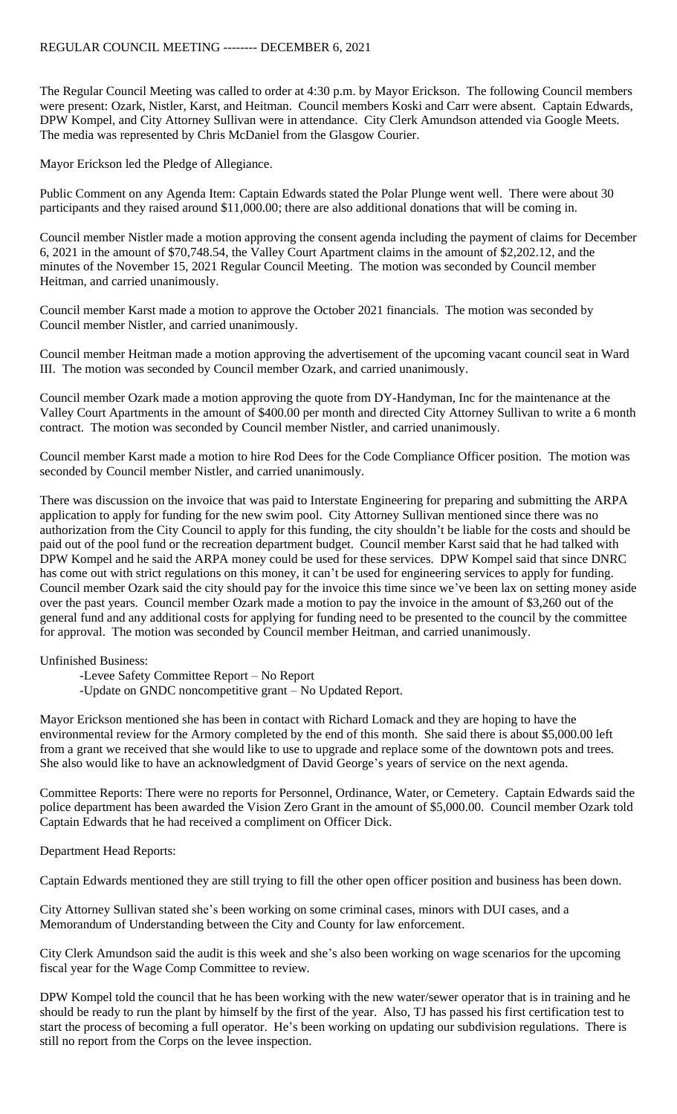The Regular Council Meeting was called to order at 4:30 p.m. by Mayor Erickson. The following Council members were present: Ozark, Nistler, Karst, and Heitman. Council members Koski and Carr were absent. Captain Edwards, DPW Kompel, and City Attorney Sullivan were in attendance. City Clerk Amundson attended via Google Meets. The media was represented by Chris McDaniel from the Glasgow Courier.

Mayor Erickson led the Pledge of Allegiance.

Public Comment on any Agenda Item: Captain Edwards stated the Polar Plunge went well. There were about 30 participants and they raised around \$11,000.00; there are also additional donations that will be coming in.

Council member Nistler made a motion approving the consent agenda including the payment of claims for December 6, 2021 in the amount of \$70,748.54, the Valley Court Apartment claims in the amount of \$2,202.12, and the minutes of the November 15, 2021 Regular Council Meeting. The motion was seconded by Council member Heitman, and carried unanimously.

Council member Karst made a motion to approve the October 2021 financials. The motion was seconded by Council member Nistler, and carried unanimously.

Council member Heitman made a motion approving the advertisement of the upcoming vacant council seat in Ward III. The motion was seconded by Council member Ozark, and carried unanimously.

Council member Ozark made a motion approving the quote from DY-Handyman, Inc for the maintenance at the Valley Court Apartments in the amount of \$400.00 per month and directed City Attorney Sullivan to write a 6 month contract. The motion was seconded by Council member Nistler, and carried unanimously.

Council member Karst made a motion to hire Rod Dees for the Code Compliance Officer position. The motion was seconded by Council member Nistler, and carried unanimously.

There was discussion on the invoice that was paid to Interstate Engineering for preparing and submitting the ARPA application to apply for funding for the new swim pool. City Attorney Sullivan mentioned since there was no authorization from the City Council to apply for this funding, the city shouldn't be liable for the costs and should be paid out of the pool fund or the recreation department budget. Council member Karst said that he had talked with DPW Kompel and he said the ARPA money could be used for these services. DPW Kompel said that since DNRC has come out with strict regulations on this money, it can't be used for engineering services to apply for funding. Council member Ozark said the city should pay for the invoice this time since we've been lax on setting money aside over the past years. Council member Ozark made a motion to pay the invoice in the amount of \$3,260 out of the general fund and any additional costs for applying for funding need to be presented to the council by the committee for approval. The motion was seconded by Council member Heitman, and carried unanimously.

Unfinished Business:

-Levee Safety Committee Report – No Report

-Update on GNDC noncompetitive grant – No Updated Report.

Mayor Erickson mentioned she has been in contact with Richard Lomack and they are hoping to have the environmental review for the Armory completed by the end of this month. She said there is about \$5,000.00 left from a grant we received that she would like to use to upgrade and replace some of the downtown pots and trees. She also would like to have an acknowledgment of David George's years of service on the next agenda.

Committee Reports: There were no reports for Personnel, Ordinance, Water, or Cemetery. Captain Edwards said the police department has been awarded the Vision Zero Grant in the amount of \$5,000.00. Council member Ozark told Captain Edwards that he had received a compliment on Officer Dick.

Department Head Reports:

Captain Edwards mentioned they are still trying to fill the other open officer position and business has been down.

City Attorney Sullivan stated she's been working on some criminal cases, minors with DUI cases, and a Memorandum of Understanding between the City and County for law enforcement.

City Clerk Amundson said the audit is this week and she's also been working on wage scenarios for the upcoming fiscal year for the Wage Comp Committee to review.

DPW Kompel told the council that he has been working with the new water/sewer operator that is in training and he should be ready to run the plant by himself by the first of the year. Also, TJ has passed his first certification test to start the process of becoming a full operator. He's been working on updating our subdivision regulations. There is still no report from the Corps on the levee inspection.